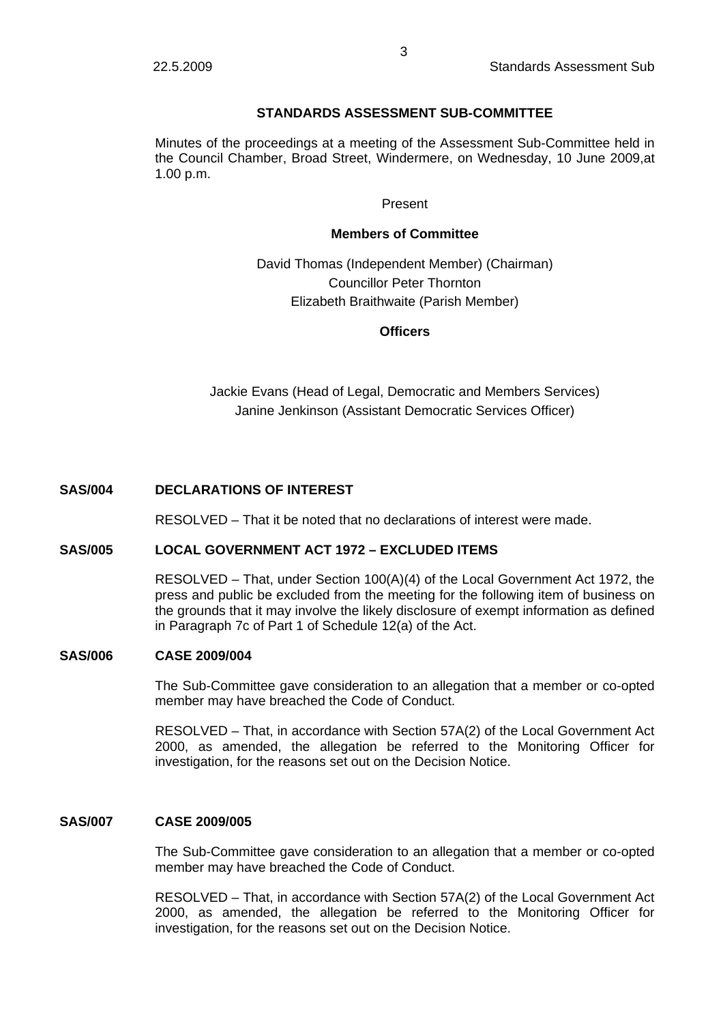# **STANDARDS ASSESSMENT SUB-COMMITTEE**

Minutes of the proceedings at a meeting of the Assessment Sub-Committee held in the Council Chamber, Broad Street, Windermere, on Wednesday, 10 June 2009,at 1.00 p.m.

## Present

## **Members of Committee**

# David Thomas (Independent Member) (Chairman) Councillor Peter Thornton Elizabeth Braithwaite (Parish Member)

## **Officers**

Jackie Evans (Head of Legal, Democratic and Members Services) Janine Jenkinson (Assistant Democratic Services Officer)

# **SAS/004 DECLARATIONS OF INTEREST**

RESOLVED – That it be noted that no declarations of interest were made.

## **SAS/005 LOCAL GOVERNMENT ACT 1972 – EXCLUDED ITEMS**

RESOLVED – That, under Section 100(A)(4) of the Local Government Act 1972, the press and public be excluded from the meeting for the following item of business on the grounds that it may involve the likely disclosure of exempt information as defined in Paragraph 7c of Part 1 of Schedule 12(a) of the Act.

## **SAS/006 CASE 2009/004**

The Sub-Committee gave consideration to an allegation that a member or co-opted member may have breached the Code of Conduct.

RESOLVED – That, in accordance with Section 57A(2) of the Local Government Act 2000, as amended, the allegation be referred to the Monitoring Officer for investigation, for the reasons set out on the Decision Notice.

## **SAS/007 CASE 2009/005**

The Sub-Committee gave consideration to an allegation that a member or co-opted member may have breached the Code of Conduct.

RESOLVED – That, in accordance with Section 57A(2) of the Local Government Act 2000, as amended, the allegation be referred to the Monitoring Officer for investigation, for the reasons set out on the Decision Notice.